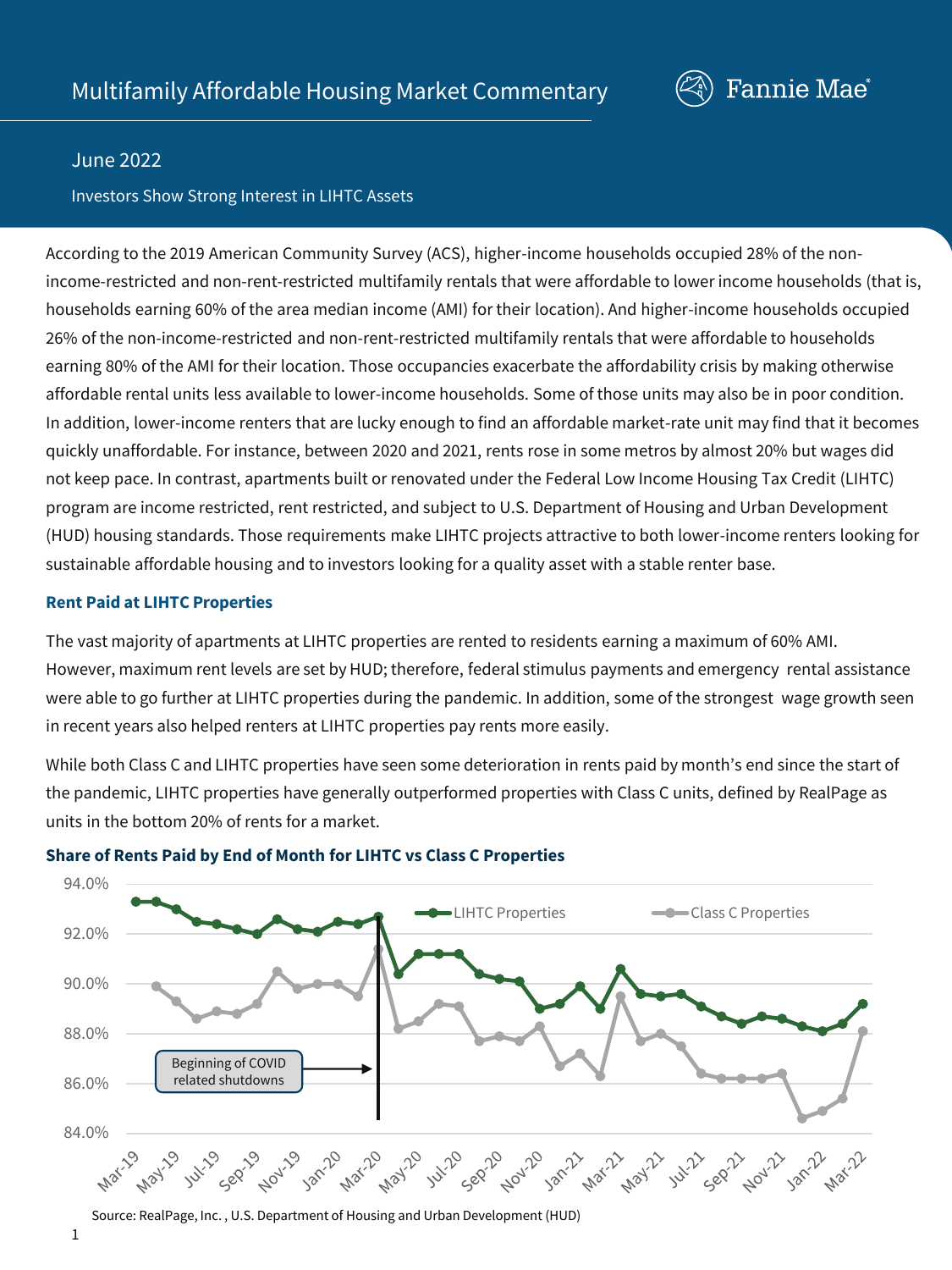

### June 2022

### Investors Show Strong Interest in LIHTC Assets

According to the 2019 American Community Survey (ACS), higher-income households occupied 28% of the nonincome-restricted and non-rent-restricted multifamily rentals that were affordable to lower income households (that is, households earning 60% of the area median income (AMI) for their location). And higher-income households occupied 26% of the non-income-restricted and non-rent-restricted multifamily rentals that were affordable to households earning 80% of the AMI for their location. Those occupancies exacerbate the affordability crisis by making otherwise affordable rental units less available to lower-income households. Some of those units may also be in poor condition. In addition, lower-income renters that are lucky enough to find an affordable market-rate unit may find that it becomes quickly unaffordable. For instance, between 2020 and 2021, rents rose in some metros by almost 20% but wages did not keep pace. In contrast, apartments built or renovated under the Federal Low Income Housing Tax Credit (LIHTC) program are income restricted, rent restricted, and subject to U.S. Department of Housing and Urban Development (HUD) housing standards. Those requirements make LIHTC projects attractive to both lower-income renters looking for sustainable affordable housing and to investors looking for a quality asset with a stable renter base.

### **Rent Paid at LIHTC Properties**

The vast majority of apartments at LIHTC properties are rented to residents earning a maximum of 60% AMI. However, maximum rent levels are set by HUD; therefore, federal stimulus payments and emergency rental assistance were able to go further at LIHTC properties during the pandemic. In addition, some of the strongest wage growth seen in recent years also helped renters at LIHTC properties pay rents more easily.

While both Class C and LIHTC properties have seen some deterioration in rents paid by month's end since the start of the pandemic, LIHTC properties have generally outperformed properties with Class C units, defined by RealPage as units in the bottom 20% of rents for a market.



### **Share of Rents Paid by End of Month for LIHTC vs Class C Properties**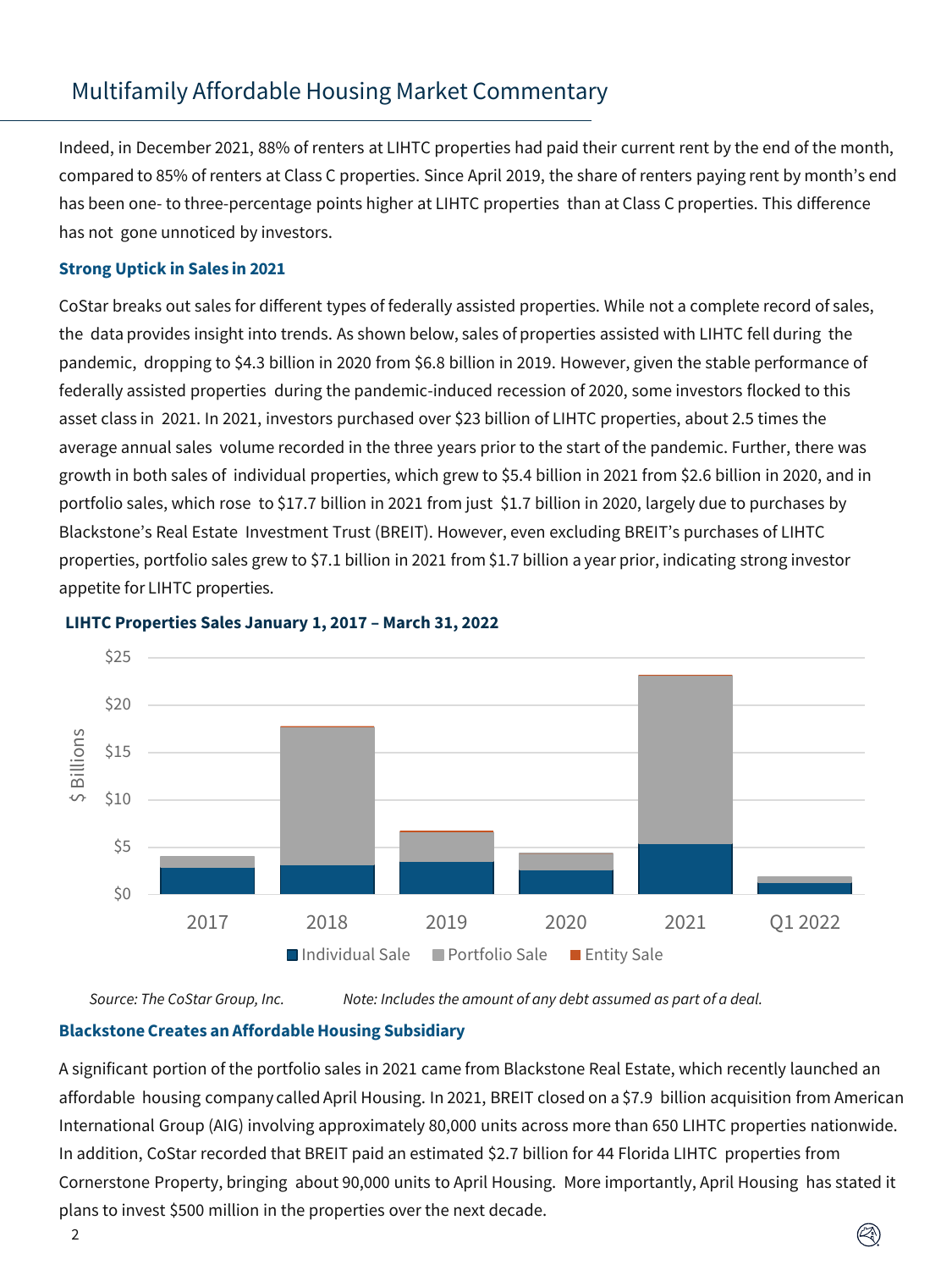Indeed, in December 2021, 88% of renters at LIHTC properties had paid their current rent by the end of the month, compared to 85% of renters at Class C properties. Since April 2019, the share of renters paying rent by month's end has been one- to three-percentage points higher at LIHTC properties than at Class C properties. This difference has not gone unnoticed by investors.

### **Strong Uptick in Sales in 2021**

CoStar breaks out sales for different types of federally assisted properties. While not a complete record of sales, the data provides insight into trends. As shown below, sales of properties assisted with LIHTC fell during the pandemic, dropping to \$4.3 billion in 2020 from \$6.8 billion in 2019. However, given the stable performance of federally assisted properties during the pandemic-induced recession of 2020, some investors flocked to this asset class in 2021. In 2021, investors purchased over \$23 billion of LIHTC properties, about 2.5 times the average annual sales volume recorded in the three years prior to the start of the pandemic. Further, there was growth in both sales of individual properties, which grew to \$5.4 billion in 2021 from \$2.6 billion in 2020, and in portfolio sales, which rose to \$17.7 billion in 2021 from just \$1.7 billion in 2020, largely due to purchases by Blackstone's Real Estate Investment Trust (BREIT). However, even excluding BREIT's purchases of LIHTC properties, portfolio sales grew to \$7.1 billion in 2021 from \$1.7 billion a year prior, indicating strong investor appetite for LIHTC properties.



### **LIHTC Properties Sales January 1, 2017 – March 31, 2022**

*Source: The CoStar Group, Inc. Note: Includes the amount of any debt assumed as part of a deal.*

### **Blackstone Creates an AffordableHousing Subsidiary**

A significant portion of the portfolio sales in 2021 came from Blackstone Real Estate, which recently launched an affordable housing company called April Housing. In 2021, BREIT closed on a \$7.9 billion acquisition from American International Group (AIG) involving approximately 80,000 units across more than 650 LIHTC properties nationwide. In addition, CoStar recorded that BREIT paid an estimated \$2.7 billion for 44 Florida LIHTC properties from Cornerstone Property, bringing about 90,000 units to April Housing. More importantly, April Housing has stated it plans to invest \$500 million in the properties over the next decade.

Ø)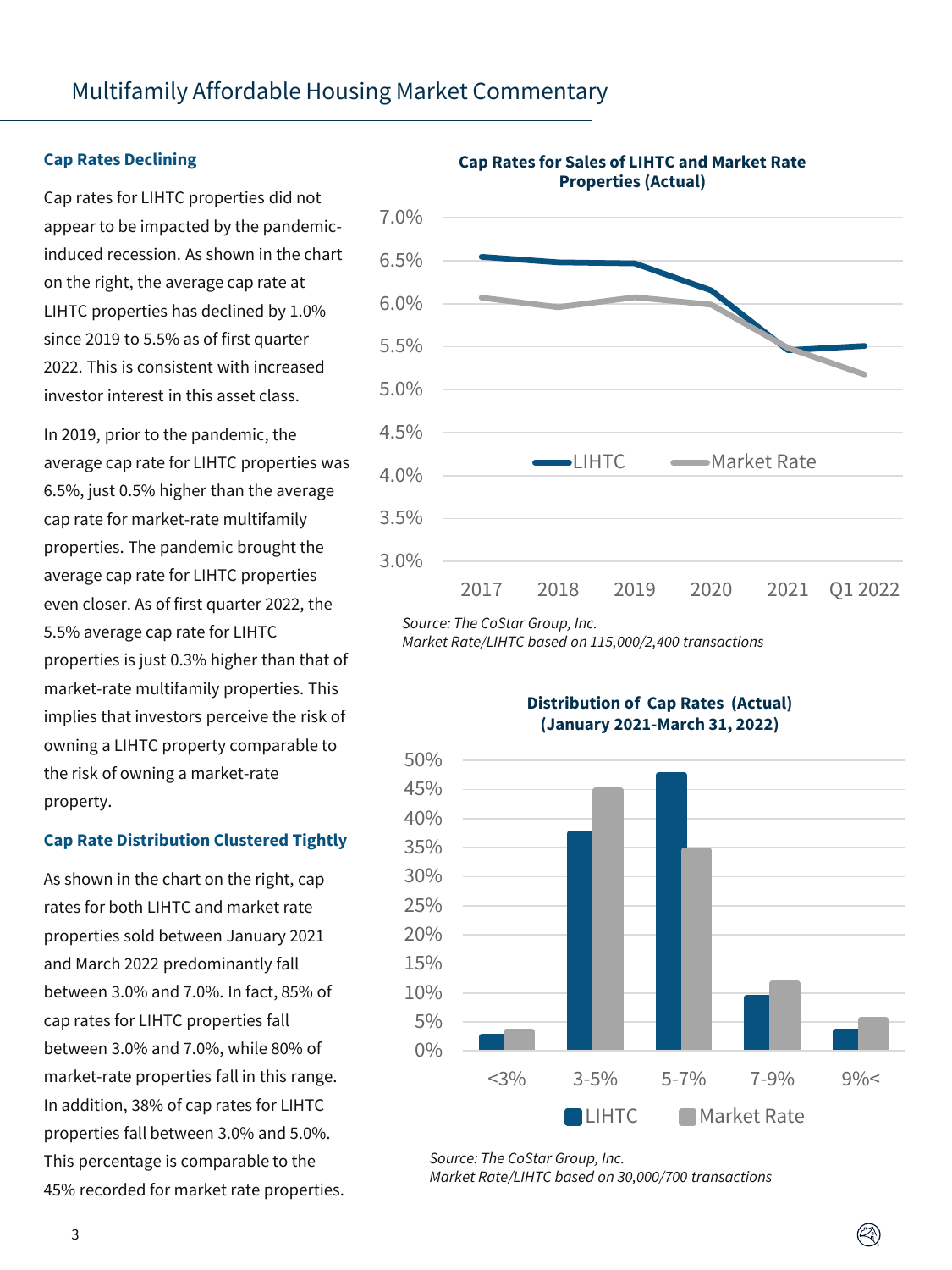#### **Cap Rates Declining**

Cap rates for LIHTC properties did not appear to be impacted by the pandemicinduced recession. As shown in the chart on the right, the average cap rate at LIHTC properties has declined by 1.0% since 2019 to 5.5% as of first quarter 2022. This is consistent with increased investor interest in this asset class.

In 2019, prior to the pandemic, the average cap rate for LIHTC properties was 6.5%, just 0.5% higher than the average cap rate for market-rate multifamily properties. The pandemic brought the average cap rate for LIHTC properties even closer. As of first quarter 2022, the 5.5% average cap rate for LIHTC properties is just 0.3% higher than that of market-rate multifamily properties. This implies that investors perceive the risk of owning a LIHTC property comparable to the risk of owning a market-rate property.

### **Cap Rate Distribution Clustered Tightly**

As shown in the chart on the right, cap rates for both LIHTC and market rate properties sold between January 2021 and March 2022 predominantly fall between 3.0% and 7.0%. In fact, 85% of cap rates for LIHTC properties fall between 3.0% and 7.0%, while 80% of market-rate properties fall in this range. In addition, 38% of cap rates for LIHTC properties fall between 3.0% and 5.0%. This percentage is comparable to the 45% recorded for market rate properties.



#### **Cap Rates for Sales of LIHTC and Market Rate Properties (Actual)**

*Source: The CoStar Group, Inc.*

*Market Rate/LIHTC based on 115,000/2,400 transactions*



 $(\mathbb{Z})$ 

**Distribution of Cap Rates (Actual) (January 2021-March 31, 2022)**

*Source: The CoStar Group, Inc. Market Rate/LIHTC based on 30,000/700 transactions*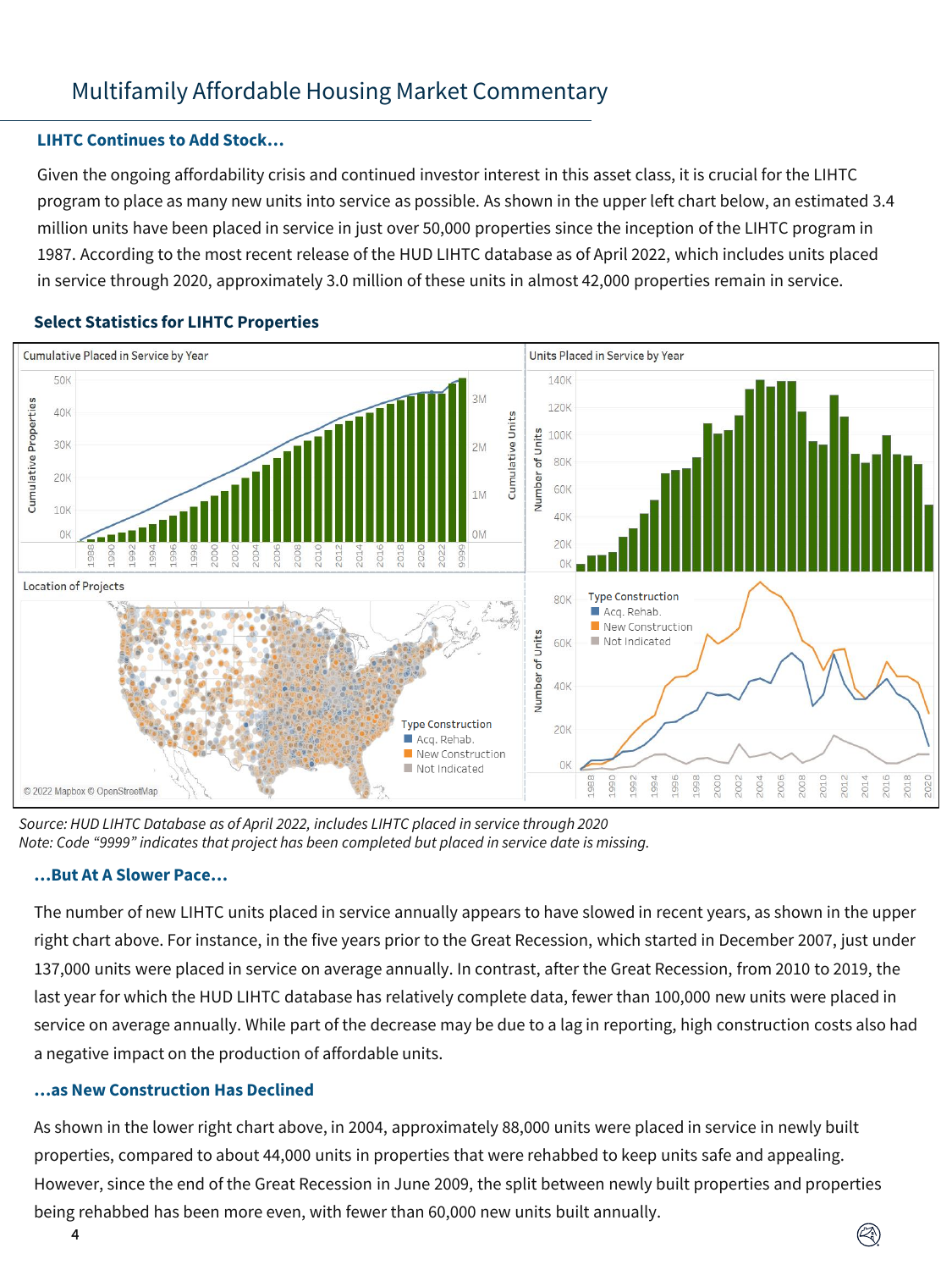### **LIHTC Continues to Add Stock…**

Given the ongoing affordability crisis and continued investor interest in this asset class, it is crucial for the LIHTC program to place as many new units into service as possible. As shown in the upper left chart below, an estimated 3.4 million units have been placed in service in just over 50,000 properties since the inception of the LIHTC program in 1987. According to the most recent release of the HUD LIHTC database as of April 2022, which includes units placed in service through 2020, approximately 3.0 million of these units in almost 42,000 properties remain in service.



### **Select Statistics for LIHTC Properties**

*Source: HUD LIHTC Database as of April 2022, includes LIHTC placed in service through 2020 Note: Code "9999" indicates that project has been completed but placed in service date is missing.* 

### **…But At A Slower Pace…**

The number of new LIHTC units placed in service annually appears to have slowed in recent years, as shown in the upper right chart above. For instance, in the five years prior to the Great Recession, which started in December 2007, just under 137,000 units were placed in service on average annually. In contrast, after the Great Recession, from 2010 to 2019, the last year for which the HUD LIHTC database has relatively complete data, fewer than 100,000 new units were placed in service on average annually. While part of the decrease may be due to a lag in reporting, high construction costs also had a negative impact on the production of affordable units.

### **…as New Construction Has Declined**

As shown in the lower right chart above, in 2004, approximately 88,000 units were placed in service in newly built properties, compared to about 44,000 units in properties that were rehabbed to keep units safe and appealing. However, since the end of the Great Recession in June 2009, the split between newly built properties and properties being rehabbed has been more even, with fewer than 60,000 new units built annually.

 $(\hspace{-0.3cm}\triangleleft\hspace{-0.3cm})$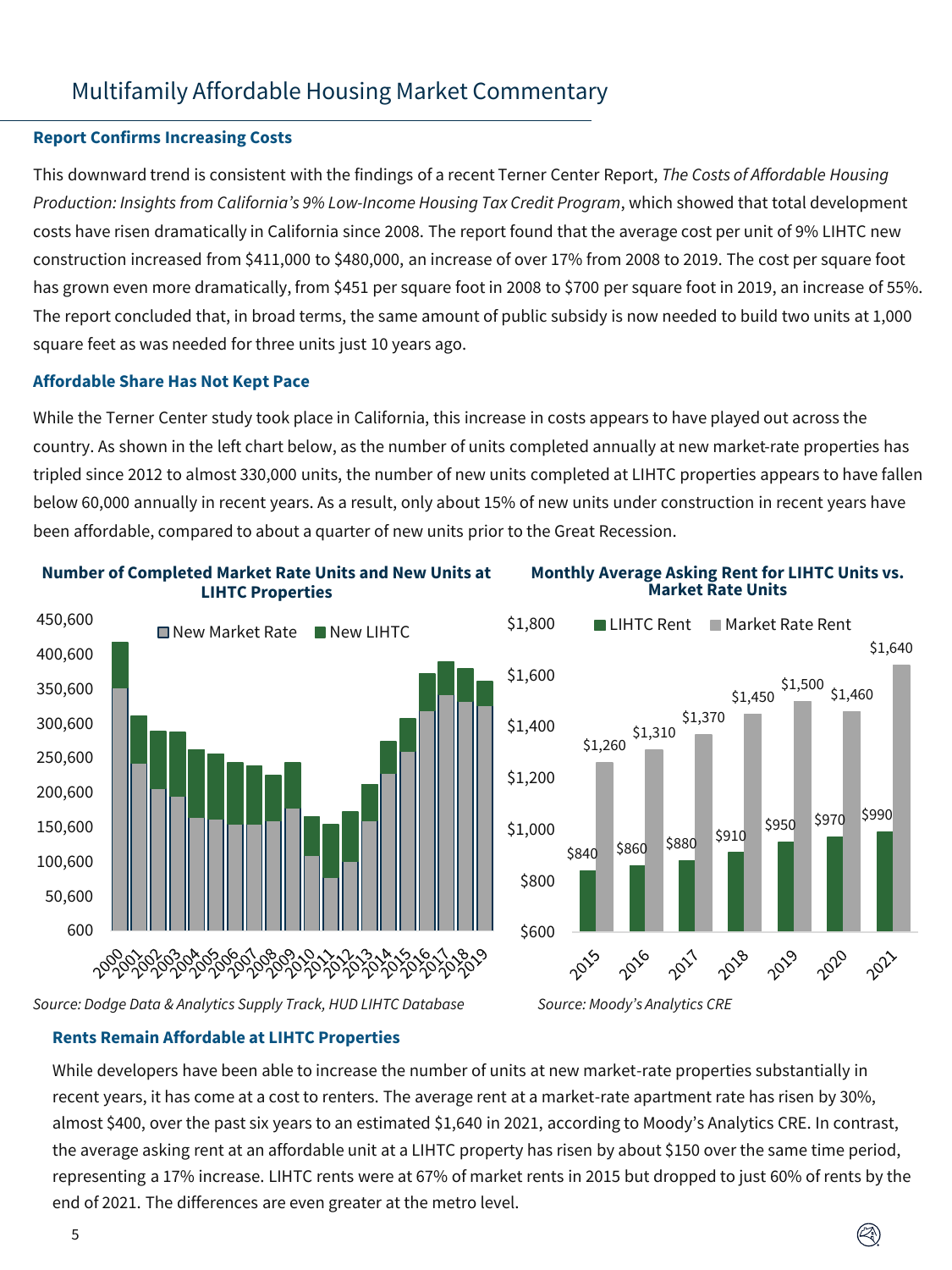### **Report Confirms Increasing Costs**

This downward trend is consistent with the findings of a recent Terner Center Report, *The Costs of Affordable Housing Production: Insights from California's 9% Low-Income Housing Tax Credit Program*, which showed that total development costs have risen dramatically in California since 2008. The report found that the average cost per unit of 9% LIHTC new construction increased from \$411,000 to \$480,000, an increase of over 17% from 2008 to 2019. The cost per square foot has grown even more dramatically, from \$451 per square foot in 2008 to \$700 per square foot in 2019, an increase of 55%. The report concluded that, in broad terms, the same amount of public subsidy is now needed to build two units at 1,000 square feet as was needed for three units just 10 years ago.

#### **Affordable Share Has Not Kept Pace**

While the Terner Center study took place in California, this increase in costs appears to have played out across the country. As shown in the left chart below, as the number of units completed annually at new market-rate properties has tripled since 2012 to almost 330,000 units, the number of new units completed at LIHTC properties appears to have fallen below 60,000 annually in recent years. As a result, only about 15% of new units under construction in recent years have been affordable, compared to about a quarter of new units prior to the Great Recession.



#### **Number of Completed Market Rate Units and New Units at LIHTC Properties**

#### **Monthly Average Asking Rent for LIHTC Units vs. Market Rate Units**



Ø)

*Source: Dodge Data & Analytics Supply Track, HUD LIHTC Database* 

**Rents Remain Affordable at LIHTC Properties**

While developers have been able to increase the number of units at new market-rate properties substantially in recent years, it has come at a cost to renters. The average rent at a market-rate apartment rate has risen by 30%, almost \$400, over the past six years to an estimated \$1,640 in 2021, according to Moody's Analytics CRE. In contrast, the average asking rent at an affordable unit at a LIHTC property has risen by about \$150 over the same time period, representing a 17% increase. LIHTC rents were at 67% of market rents in 2015 but dropped to just 60% of rents by the end of 2021. The differences are even greater at the metro level.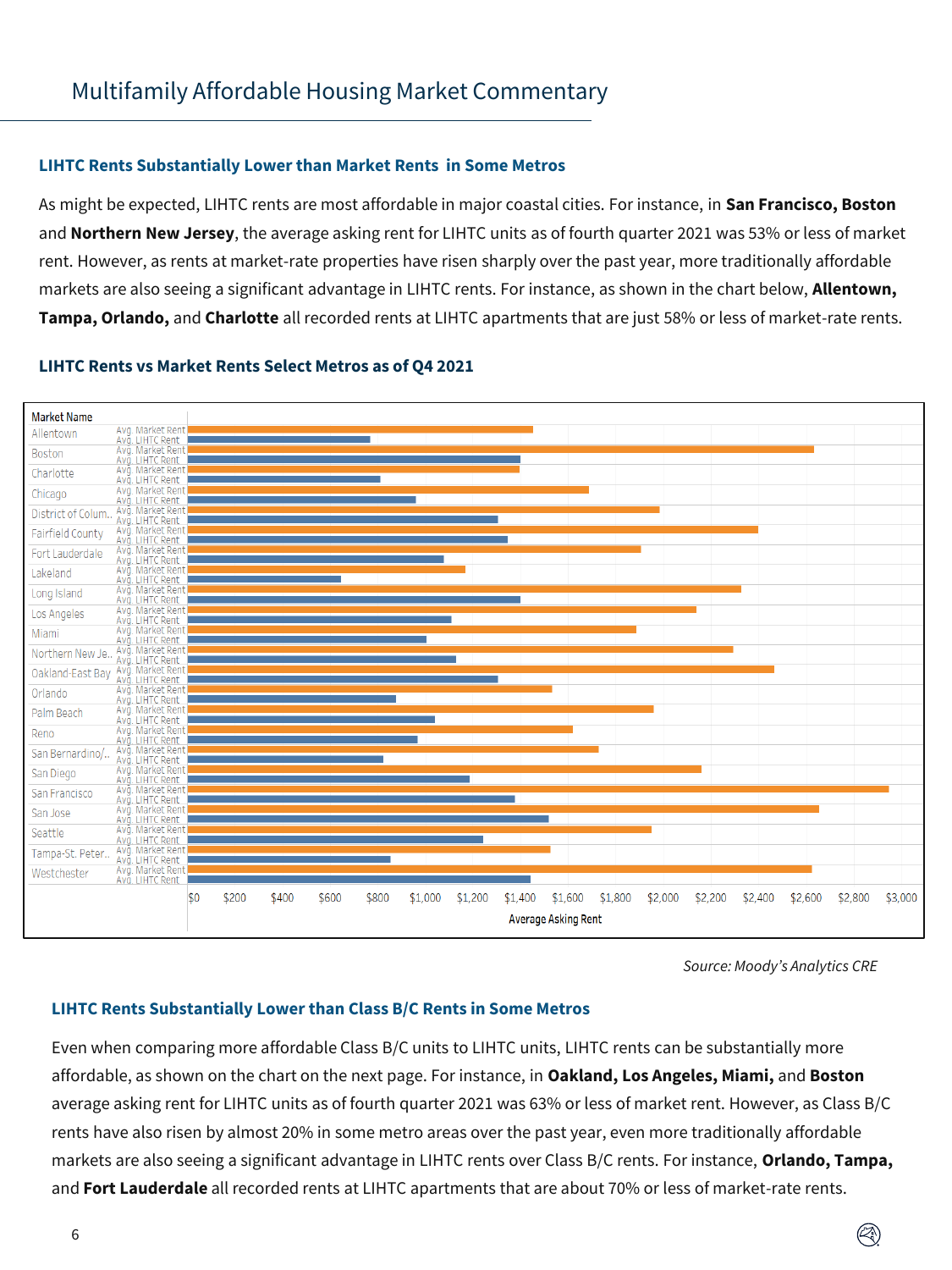### **LIHTC Rents Substantially Lower than Market Rents in Some Metros**

As might be expected, LIHTC rents are most affordable in major coastal cities. For instance, in **San Francisco, Boston**  and **Northern New Jersey**, the average asking rent for LIHTC units as of fourth quarter 2021 was 53% or less of market rent. However, as rents at market-rate properties have risen sharply over the past year, more traditionally affordable markets are also seeing a significant advantage in LIHTC rents. For instance, as shown in the chart below, **Allentown, Tampa, Orlando,** and **Charlotte** all recorded rents at LIHTC apartments that are just 58% or less of market-rate rents.

### **LIHTC Rents vs Market Rents Select Metros as of Q4 2021**



*Source: Moody's Analytics CRE* 

### **LIHTC Rents Substantially Lower than Class B/C Rents in Some Metros**

Even when comparing more affordable Class B/C units to LIHTC units, LIHTC rents can be substantially more affordable, as shown on the chart on the next page. For instance, in **Oakland, Los Angeles, Miami,** and **Boston**  average asking rent for LIHTC units as of fourth quarter 2021 was 63% or less of market rent. However, as Class B/C rents have also risen by almost 20% in some metro areas over the past year, even more traditionally affordable markets are also seeing a significant advantage in LIHTC rents over Class B/C rents. For instance, **Orlando, Tampa,**  and **Fort Lauderdale** all recorded rents at LIHTC apartments that are about 70% or less of market-rate rents.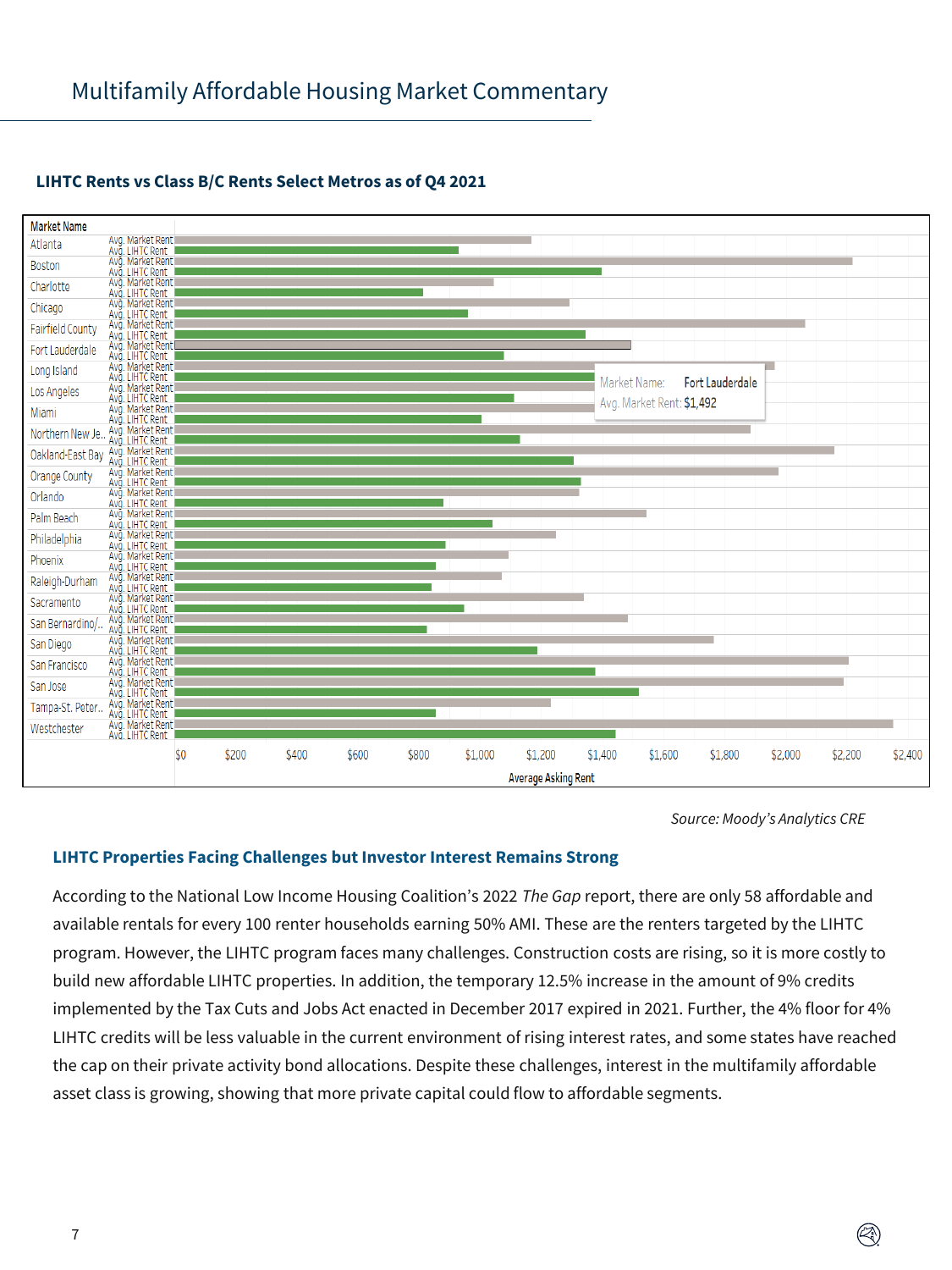

### **LIHTC Rents vs Class B/C Rents Select Metros as of Q4 2021**

*Source: Moody's Analytics CRE* 

 $(\hspace{-0.3cm}\triangleleft\hspace{-0.3cm})$ 

### **LIHTC Properties Facing Challenges but Investor Interest Remains Strong**

According to the National Low Income Housing Coalition's 2022 *The Gap* report, there are only 58 affordable and available rentals for every 100 renter households earning 50% AMI. These are the renters targeted by the LIHTC program. However, the LIHTC program faces many challenges. Construction costs are rising, so it is more costly to build new affordable LIHTC properties. In addition, the temporary 12.5% increase in the amount of 9% credits implemented by the Tax Cuts and Jobs Act enacted in December 2017 expired in 2021. Further, the 4% floor for 4% LIHTC credits will be less valuable in the current environment of rising interest rates, and some states have reached the cap on their private activity bond allocations. Despite these challenges, interest in the multifamily affordable asset class is growing, showing that more private capital could flow to affordable segments.